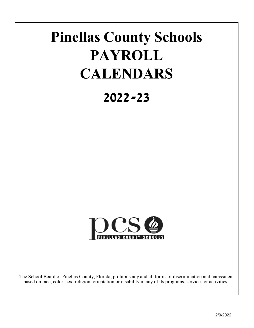# **Pinellas County Schools PAYROLL CALENDARS**

# **2022-23**



The School Board of Pinellas County, Florida, prohibits any and all forms of discrimination and harassment based on race, color, sex, religion, orientation or disability in any of its programs, services or activities.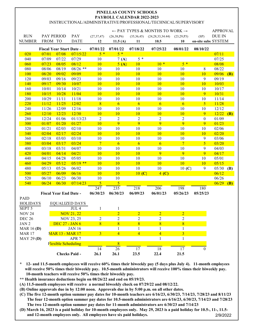INSTRUCTIONAL/ADMINISTRATIVE/PROFESSIONAL/TECHNICAL/SUPERVISORY

|                   |                                 |                               |                       |                         |                 |                | $\leftarrow$ PAY TYPES & MONTHS TO WORK $\rightarrow$ |                         |                     | <b>APPROVAL</b> |            |
|-------------------|---------------------------------|-------------------------------|-----------------------|-------------------------|-----------------|----------------|-------------------------------------------------------|-------------------------|---------------------|-----------------|------------|
| <b>RUN</b>        |                                 | PAY PERIOD                    | PAY                   | (27, 37, 47)            | (26, 38, P6)    | (35,36,45)     | (24, 28, 33, 34.44)                                   | (23, 29, P3)            | (SP)                | <b>DUE IN</b>   |            |
| <b>NUMBER</b>     | FROM TO                         |                               | <b>DATE</b>           | 12                      | 11.5 $(A)$      | 11             | 10.5                                                  | 10                      | on-site subs SYSTEM |                 |            |
|                   | <b>Fiscal Year Start Date -</b> |                               |                       | 07/01/22                | 07/01/22        | 07/18/22       | 07/25/22                                              | 08/01/22                | 08/10/22            |                 |            |
| 020               | 07/01                           | 07/08                         | 07/15/22              | $5*$                    | $5*$            |                |                                                       |                         |                     | 07/11           |            |
| 040               | 07/09                           | 07/22                         | 07/29                 | 10                      | 7(A)            | $5*$           |                                                       |                         |                     | 07/25           |            |
| 060               | 07/23                           | 08/05                         | 08/12                 | 10                      | 5(A)            | <b>10</b>      | $10 *$                                                | $5*$                    |                     | 08/08           |            |
| 080               | 08/06                           | 08/19                         | $08/26$ **            | 10                      | 10              | 10             | 10                                                    | 10                      | 8                   | 08/22           |            |
| 100               | 08/20                           | 09/02                         | 09/09                 | 10                      | 10              | <b>10</b>      | 10                                                    | 10                      | 10                  | 09/06           | (B)        |
| 120               | 09/03                           | 09/16                         | 09/23                 | 10                      | 10              | 10             | 10                                                    | 10                      | 9                   | 09/19           |            |
| 140               | 09/17                           | 09/30                         | 10/07                 | 10                      | 10              | 10             | <b>10</b>                                             | 10                      | 10                  | 10/03           |            |
| 160               | 10/01                           | 10/14                         | 10/21                 | 10                      | 10              | 10             | 10                                                    | 10                      | 10                  | 10/17           |            |
| 180               | 10/15                           | 10/28                         | 11/04                 | 10                      | 10              | <b>10</b>      | 10                                                    | 10                      | 9                   | 10/31           |            |
| 200               | 10/29                           | 11/11                         | 11/18                 | $10\,$                  | 10              | 10             | 10                                                    | 10                      | 10                  | 11/14           |            |
| 220               | 11/12                           | 11/25                         | 12/02                 | 8                       | 6               | 6              | 6                                                     | $6\overline{6}$         | $\overline{5}$      | 11/28           |            |
| 240               | 11/26                           | 12/09                         | 12/16                 | 10                      | 10              | 10             | 10                                                    | 10                      | 10                  | 12/12           |            |
| 260               | 12/10                           | 12/23                         | 12/30                 | 10                      | 10              | 10             | 10                                                    | 10                      | 9                   | 12/22           | (B)        |
| 280               | 12/24                           | 01/06                         | 01/13/23              | $\overline{2}$          | $\overline{2}$  | $\overline{2}$ | $\overline{c}$                                        | $\overline{2}$          | $\boldsymbol{0}$    | 01/09           |            |
| 300               | 01/07                           | 01/20                         | 01/27                 | 10                      | $\overline{9}$  | $\overline{9}$ | 9                                                     | 9                       | 9                   | 01/23           |            |
| 320               | 01/21                           | 02/03                         | 02/10                 | 10                      | 10              | 10             | 10                                                    | 10                      | 10                  | 02/06           |            |
| 340               | 02/04                           | 02/17                         | 02/24                 | 10                      | 10              | 10             | 10                                                    | 10                      | 10                  | 02/20           |            |
| 360               | 02/18                           | 03/03                         | 03/10                 | 10                      | 10              | 10             | 10                                                    | 10                      | 9                   | 03/06           |            |
| 380               | 03/04                           | 03/17                         | 03/24                 | $\overline{7}$          | $6\overline{6}$ | 6              | 6                                                     | $7\phantom{.0}$         | $\overline{5}$      | 03/20           |            |
| 400               | 03/18                           | 03/31                         | 04/07                 | 10                      | 10              | 10             | 10                                                    | 10                      | 9                   | 04/03           |            |
| 420               | 04/01                           | 04/14                         | 04/21                 | 10                      | 10              | 10             | 9                                                     | 9                       | 9                   | 04/17           |            |
| 440               | 04/15                           | 04/28                         | 05/05                 | 10                      | 10              | 10             | 10                                                    | 10                      | 10                  | 05/01           |            |
| 460               | 04/29                           | 05/12                         | $05/19$ **            | 10                      | 10              | 10             | 10                                                    | 10                      | 10                  | 05/15           |            |
| 480               | 05/13                           | 05/26                         | 06/02                 | 10                      | 10              | 10             | 10                                                    | 10(C)                   | 9                   | 05/30           | <b>(B)</b> |
| 500               | 05/27                           | 06/09                         | 06/16                 | 10                      | 10              | 10(C)          | $4($ C)                                               |                         |                     | 06/12           |            |
| 520               | 06/10                           | 06/23                         | 06/30                 | 10                      | 10              |                |                                                       |                         |                     | 06/26           |            |
| 540               | 06/24                           | 06/30                         | 07/14/23              | 5                       | 5               |                |                                                       |                         |                     | 06/29           | (B)        |
|                   |                                 |                               |                       | 247                     | 235             | 218            | 206                                                   | 198                     | 180                 |                 |            |
|                   |                                 | <b>Fiscal Year End Date -</b> |                       | 06/30/23                | 06/30/23        | 06/09/23       | 06/01/23                                              | 05/26/23                | 05/25/23            |                 |            |
| <b>PAID</b>       |                                 |                               |                       |                         |                 |                |                                                       |                         |                     |                 |            |
| <b>HOLIDAYS</b>   |                                 |                               | <b>EQUALIZED DAYS</b> |                         |                 |                |                                                       |                         |                     |                 |            |
| SEPT 5            |                                 |                               | $JUL$ 4               | $\mathbf{1}$            | $\mathbf{1}$    |                |                                                       |                         |                     |                 |            |
| <b>NOV 24</b>     |                                 |                               | <b>NOV 21, 22</b>     |                         | $\overline{2}$  | $\overline{2}$ | $\overline{2}$                                        | $\overline{2}$          |                     |                 |            |
| <b>DEC 26</b>     |                                 |                               | NOV 23, 25            | $\mathfrak{2}$          | $\overline{2}$  | $\overline{c}$ | 2                                                     | 2                       |                     |                 |            |
| JAN 2             |                                 | <b>DEC 27 - JAN 6</b>         |                       | $\bf{8}$                | $\sqrt{8}$      | 8              | 8                                                     | 8                       |                     |                 |            |
| <b>MAR 16 (D)</b> |                                 |                               | <b>JAN 16</b>         |                         | 1               | 1              | 1                                                     | 1                       |                     |                 |            |
| <b>MAR 17</b>     |                                 | <b>MAR 13 - MAR 17</b>        |                       | $\overline{\mathbf{3}}$ | $\overline{4}$  | $\overline{4}$ | $\overline{4}$                                        | $\overline{\mathbf{3}}$ |                     |                 |            |
| <b>MAY 29 (D)</b> |                                 |                               | APR <sub>7</sub>      |                         |                 |                | 1                                                     | 1                       |                     |                 |            |
|                   |                                 | <b>Flexible Scheduling</b>    |                       |                         | 8               |                |                                                       |                         |                     |                 |            |
|                   |                                 |                               |                       | 14                      | 26              | 17             | 18                                                    | 17                      | 0                   |                 |            |
|                   |                                 |                               | <b>Checks Paid -</b>  | 26.1                    | 26.1            | 23.5           | 22.4                                                  | 21.5                    |                     |                 |            |

**\* 12- and 11.5-month employees will receive 60% times their biweekly pay (5 days plus July 4). 11-month employees will receive 50% times their biweekly pay. 10.5-month administrators will receive 100% times their biweekly pay. 10-month teachers will receive 50% times their biweekly pay.** 

**\*\* Health insurance deductions begin on 08/26/22 and end on 05/19/23.**

**(A) 11.5-month employees will receive a normal biweekly check on 07/29/22 and 08/12/22.**

**(B) Online approvals due in by 12:00 noon. Approvals due in by 5:00 p.m. on all other dates.**

**(C) The five 12-month option summer pay dates for 10-month teachers are 6/16/23, 6/30/23, 7/14/23, 7/28/23 and 8/11/23 The four 12-month option summer pay dates for 10.5-month administrators are 6/16/23, 6/30/23, 7/14/23 and 7/28/23 The two 12-month option summer pay dates for 11-month administrators are 6/30/23 and 7/14/23**

**(D) March 16, 2023 is a paid holiday for 10-month employees only. May 29, 2023 is a paid holiday for 10.5-, 11-, 11.5 and 12-month employees only. All employees have six paid holidays.** 2/9/2022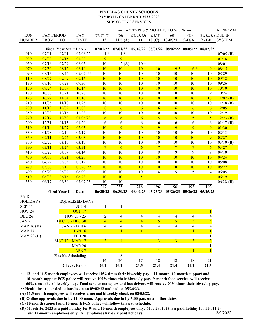#### **PAYROLL CALENDAR 2022-2023** SUPPORTING SERVICES **PINELLAS COUNTY SCHOOLS**

|                           |             |                               |                                           |                 |                          |                |                 | $\leftarrow$ PAY TYPES & MONTHS TO WORK $\rightarrow$ |                |                          | <b>APPROVAL</b> |
|---------------------------|-------------|-------------------------------|-------------------------------------------|-----------------|--------------------------|----------------|-----------------|-------------------------------------------------------|----------------|--------------------------|-----------------|
| <b>RUN</b>                | PAY PERIOD  |                               | PAY                                       | (57, 67, 77)    | (56)                     | (55, 65, 75)   | (53, 73)        | (63)                                                  | (61)           | (81, 82, 85) DUE IN      |                 |
| <b>NUMBER</b>             | <b>FROM</b> | <b>TO</b>                     | <b>DATE</b>                               | 12              | 11.5 $(A)$               | 11             | 10(C)           | <b>10-FSM</b>                                         | 9-FSA          |                          | 9-BD SYSTEM     |
|                           |             | Fiscal Year Start Date -      |                                           | 07/01/22        | 07/01/22                 |                |                 | 07/18/22 08/01/22 08/02/22 08/05/22 08/02/22          |                |                          |                 |
| 010                       | 07/01       | 07/01                         | 07/08/22                                  | $1 *$           | $1 *$                    |                |                 |                                                       |                |                          | $07/05$ (B)     |
| 030                       | 07/02       | 07/15                         | 07/22                                     | 9               | $\overline{9}$           |                |                 |                                                       |                |                          | 07/18           |
| 050                       | 07/16       | 07/29                         | 08/05                                     | 10              | 2(A)                     | $10*$          |                 |                                                       |                |                          | 08/01           |
| 070                       | 07/30       | 08/12                         | 08/19                                     | 10              | 10                       | 10             | $10 *$          | $9*$                                                  | $6*$           | $9 *$                    | 08/15           |
| 090                       | 08/13       | 08/26                         | $09/02$ **                                | 10              | 10                       | 10             | 10              | 10                                                    | 10             | 10                       | 08/29           |
| 110                       | 08/27       | 09/09                         | 09/16                                     | 10              | 10                       | 10             | <b>10</b>       | 10                                                    | 10             | 10                       | 09/12           |
| 130                       | 09/10       | 09/23                         | 09/30                                     | 10              | 10                       | 10             | 10              | 10                                                    | 10             | 10                       | 09/26           |
| 150                       | 09/24       | 10/07                         | 10/14                                     | 10              | 10                       | 10             | 10              | 10                                                    | 10             | 10                       | 10/10           |
| 170                       | 10/08       | 10/21                         | 10/28                                     | 10              | 10                       | 10             | 10              | 10                                                    | 10             | 9                        | 10/24           |
| 190                       | 10/22       | 11/04                         | 11/10                                     | 10              | 10                       | 10             | 10              | 10                                                    | 10             | 10                       | $11/07$ (B)     |
| 210                       | 11/05       | 11/18                         | 11/25                                     | 10              | 10                       | 10             | 10              | 10                                                    | 10             | 10                       | $11/18$ (B)     |
| 230                       | 11/19       | 12/02                         | 12/09                                     | 8               | $6\overline{6}$          | $\overline{6}$ | $\overline{6}$  | $\overline{6}$                                        | 6              | 6                        | 12/05           |
| 250                       | 12/03       | 12/16                         | 12/23                                     | 10              | 10                       | 10             | 10              | 10                                                    | 10             | 10                       | 12/19           |
| 270                       | 12/17       | 12/30                         | 01/06/23                                  | $6\overline{6}$ | $\overline{6}$           | $\overline{6}$ | $\overline{5}$  | $\sqrt{5}$                                            | 5              | 5                        | $12/23$ (B)     |
| 290                       | 12/31       | 01/13                         | 01/20                                     | 6               | 6                        | 6              | 6               | 6                                                     | 6              | 6                        | $01/17$ (B)     |
| 310                       | 01/14       | 01/27                         | 02/03                                     | 10              | 9                        | 9              | 9               | 9                                                     | 9              | 9                        | 01/30           |
| 330                       | 01/28       | 02/10                         | 02/17                                     | 10              | $10\,$                   | 10             | 10              | 10                                                    | $10\,$         | 10                       | 02/13           |
| 350                       | 02/11       | 02/24                         | 03/03                                     | <b>10</b>       | 10                       | 10             | 10              | 10                                                    | 10             | 9                        | 02/27           |
| 370                       | 02/25       | 03/10                         | 03/17                                     | 10              | $10\,$                   | 10             | 10              | 10                                                    | 10             | 10                       | $03/10$ (B)     |
| 390                       | 03/11       | 03/24                         | 03/31                                     | $7\phantom{.0}$ | $6\overline{6}$          | 6              | $7\phantom{.0}$ | $\overline{7}$                                        | $\overline{7}$ | 6                        | 03/27           |
| 410                       | 03/25       | 04/07                         | 04/14                                     | 10              | 10                       | 10             | $\overline{9}$  | 9                                                     | 9              | 9                        | 04/10           |
| 430                       | 04/08       | 04/21                         | 04/28                                     | 10              | 10                       | 10             | 10              | 10                                                    | 10             | <b>10</b>                | 04/24           |
| 450                       | 04/22       | 05/05                         | 05/12                                     | 10              | 10                       | 10             | 10              | 10                                                    | 10             | 10                       | 05/08           |
| 470                       | 05/06       | 05/19                         | $05/26$ **                                | 10              | 10                       | 10             | <b>10</b>       | <b>10</b>                                             | 10             | <b>10</b>                | 05/22           |
| 490                       | 05/20       | 06/02                         | 06/09                                     | 10              | 10                       | 10             | $\overline{4}$  | 5                                                     | 5              | $\overline{4}$           | 06/05           |
| 510                       | 06/03       | 06/16                         | 06/23                                     | 10              | 10                       | 5              |                 |                                                       |                |                          | 06/19           |
| 530                       | 06/17       | 06/30                         | 07/07/23                                  | 10              | 10                       |                |                 |                                                       |                |                          | $06/28$ (B)     |
|                           |             |                               |                                           | 247             | 235                      | 218            | 196             | 196                                                   | 193            | 192                      |                 |
|                           |             | <b>Fiscal Year End Date -</b> |                                           | 06/30/23        | 06/30/23                 | 06/09/23       |                 | $05/25/23$ $05/26/23$                                 | 05/26/23       | 05/25/23                 |                 |
| PAID                      |             |                               |                                           |                 |                          |                |                 |                                                       |                |                          |                 |
| <b>HOLIDAYS</b><br>SEPT 5 |             |                               | <b>EQUALIZED DAYS</b><br>JUL <sub>4</sub> |                 |                          |                |                 |                                                       |                |                          |                 |
| <b>NOV 24</b>             |             |                               | $-$ OCT 17                                | 1               | 1                        |                |                 |                                                       |                | $\mathbf{1}$             |                 |
| <b>DEC 26</b>             |             |                               | NOV 21 - 25                               | $\overline{c}$  | $\overline{4}$           | 4              | $\overline{4}$  | 4                                                     | 4              | $\overline{4}$           |                 |
| JAN 2                     |             | DEC 23 - DEC 30               |                                           | $\overline{4}$  | $\overline{4}$           | $\overline{4}$ | $\overline{5}$  | $\overline{5}$                                        | $\overline{5}$ | $\overline{5}$           |                 |
| MAR 16 $(D)$              |             |                               | <b>JAN 2 - JAN 6</b>                      | 4               | $\overline{\mathcal{A}}$ | 4              | $\overline{4}$  | 4                                                     | $\overline{4}$ | $\overline{\mathcal{L}}$ |                 |
| <b>MAR 17</b>             |             |                               | <b>JAN 16</b>                             |                 |                          | $\mathbf{1}$   | $\mathbf{1}$    | $\mathbf{1}$                                          | $\mathbf{1}$   | $\mathbf{1}$             |                 |
| MAY 29 (D)                |             |                               | <b>FEB 20</b>                             |                 |                          |                |                 |                                                       |                | 1                        |                 |
|                           |             | <b>MAR 13 - MAR 17</b>        |                                           | $\overline{3}$  | $\overline{4}$           | $\overline{4}$ | $\overline{3}$  | $\overline{3}$                                        | $\overline{3}$ | 3 <sup>1</sup>           |                 |
|                           |             |                               | <b>MAR 20</b>                             |                 |                          |                |                 |                                                       |                | 1                        |                 |
|                           |             |                               | APR <sub>7</sub>                          |                 |                          |                | $\mathbf{1}$    | $\mathbf{1}$                                          | $\mathbf{1}$   | $\mathbf{1}$             |                 |
|                           |             | Flexible Scheduling           |                                           |                 | 8                        |                |                 |                                                       |                |                          |                 |
|                           |             |                               |                                           | 14              | 26                       | 17             | 18              | 18                                                    | 18             | 21                       |                 |
|                           |             |                               | <b>Checks Paid -</b>                      | 26.1            | 26.1                     | 23.5           | 21.4            | 21.4                                                  | 21.1           | 21.3                     |                 |

**\* 12- and 11.5-month employees will receive 10% times their biweekly pay. 11-month, 10-month support and 10-month support PCS police will receive 100% times their biweekly pay. 9-month food service will receive 60% times their biweekly pay. Food service managers and bus drivers will receive 90% times their biweekly pay. \*\* Health insurance deductions begin on 09/02/22 and end on 05/26/23.**

- **(A) 11.5-month employees will receive a normal biweekly check on 08/05/22.**
- **(B) Online approvals due in by 12:00 noon. Approvals due in by 5:00 p.m. on all other dates.**
- **(C) 10-month support and 10-month PCS police will follow this pay schedule.**
- **(D) March 16, 2023 is a paid holiday for 9- and 10-month employees only. May 29, 2023 is a paid holiday for 11-, 11.5 and 12-month employees only. All employees have six paid holidays.** 2/9/2022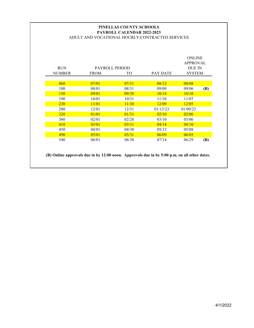# **PAYROLL CALENDAR 2022-2023** ADULT AND VOCATIONAL HOURLY/CONTRACTED SERVICES **PINELLAS COUNTY SCHOOLS**

| <b>RUN</b><br><b>NUMBER</b> | PAYROLL PERIOD<br><b>FROM</b> | TО    | <b>PAY DATE</b> | <b>ONLINE</b><br>APPROVAL<br><b>DUE IN</b><br><b>SYSTEM</b> |     |
|-----------------------------|-------------------------------|-------|-----------------|-------------------------------------------------------------|-----|
|                             |                               |       |                 |                                                             |     |
| 060                         | 07/01                         | 07/31 | 08/12           | 08/08                                                       |     |
| 100                         | 08/01                         | 08/31 | 09/09           | 09/06                                                       | (B) |
| <b>150</b>                  | 09/01                         | 09/30 | 10/14           | 10/10                                                       |     |
| 190                         | 10/01                         | 10/31 | 11/10           | 11/07                                                       |     |
| 230                         | 11/01                         | 11/30 | 12/09           | 12/05                                                       |     |
| 280                         | 12/01                         | 12/31 | 01/13/23        | 01/09/23                                                    |     |
| <b>320</b>                  | 01/01                         | 01/31 | 02/10           | 02/06                                                       |     |
| 360                         | 02/01                         | 02/28 | 03/10           | 03/06                                                       |     |
| 410                         | 03/01                         | 03/31 | 04/14           | 04/10                                                       |     |
| 450                         | 04/01                         | 04/30 | 0.5/12          | 05/08                                                       |     |
| 490                         | 05/01                         | 05/31 | 06/09           | 06/05                                                       |     |
| 540                         | 06/01                         | 06/30 | 07/14           | 06/29                                                       | (B) |

**(B) Online approvals due in by 12:00 noon. Approvals due in by 5:00 p.m. on all other dates.**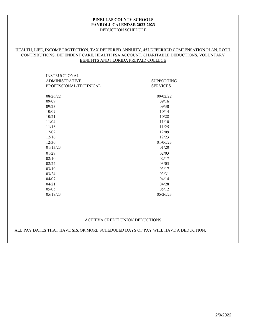#### DEDUCTION SCHEDULE **PINELLAS COUNTY SCHOOLS PAYROLL CALENDAR 2022-2023**

# HEALTH, LIFE, INCOME PROTECTION, TAX DEFERRED ANNUITY, 457 DEFERRED COMPENSATION PLAN, ROTH CONTRIBUTIONS, DEPENDENT CARE, HEALTH FSA ACCOUNT, CHARITABLE DEDUCTIONS, VOLUNTARY BENEFITS AND FLORIDA PREPAID COLLEGE

| <b>SUPPORTING</b> |
|-------------------|
| <b>SERVICES</b>   |
|                   |
| 09/02/22          |
| 09/16             |
| 09/30             |
| 10/14             |
| 10/28             |
| 11/10             |
| 11/25             |
| 12/09             |
| 12/23             |
| 01/06/23          |
| 01/20             |
| 02/03             |
| 02/17             |
| 03/03             |
| 03/17             |
| 03/31             |
| 04/14             |
| 04/28             |
| 05/12             |
| 05/26/23          |
|                   |

#### ACHIEVA CREDIT UNION DEDUCTIONS

ALL PAY DATES THAT HAVE **SIX** OR MORE SCHEDULED DAYS OF PAY WILL HAVE A DEDUCTION.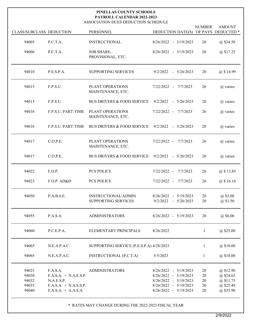#### ASSOCIATION DUES DEDUCTION SCHEDULE **PAYROLL CALENDAR 2022-2023 PINELLAS COUNTY SCHOOLS**

| <b>CLASS/SUBCLASS DEDUCTION</b>           |                                                                                                       | PERSONNEL                                         | <b>DEDUCTION DATE(S)</b>                                                                                                        | <b>NUMBER</b>              | <b>AMOUNT</b><br>OF PAYS DEDUCTED <sup>*</sup>                |
|-------------------------------------------|-------------------------------------------------------------------------------------------------------|---------------------------------------------------|---------------------------------------------------------------------------------------------------------------------------------|----------------------------|---------------------------------------------------------------|
| 94005                                     | P.C.T.A.                                                                                              | <b>INSTRUCTIONAL</b>                              | $8/26/2022 - 5/19/2023$                                                                                                         | 20                         | @\$34.50                                                      |
| 94006                                     | P.C.T.A.                                                                                              | <b>JOB SHARE,</b><br>PROVISIONAL, ETC.            | $8/26/2022 - 5/19/2023$                                                                                                         | 20                         | @ \$17.25                                                     |
| 94010                                     | P.E.S.P.A.                                                                                            | <b>SUPPORTING SERVICES</b>                        | $9/2/2022 - 5/26/2023$                                                                                                          | 20                         | @ \$16.99                                                     |
| 94015                                     | F.P.S.U.                                                                                              | PLANT OPERATIONS<br>MAINTENANCE, ETC.             | 7/22/2022 - 7/7/2023                                                                                                            | 26                         | @ varies                                                      |
| 94015                                     | F.P.S.U.                                                                                              | <b>BUS DRIVERS &amp; FOOD SERVICE</b>             | $9/2/2022 - 5/26/2023$                                                                                                          | 20                         | @ varies                                                      |
| 94016                                     | <b>F.P.S.U. PART-TIME</b>                                                                             | PLANT OPERATIONS<br>MAINTENANCE, ETC.             | 7/22/2022 - 7/7/2023                                                                                                            | 26                         | @ varies                                                      |
| 94016                                     | <b>F.P.S.U. PART-TIME</b>                                                                             | <b>BUS DRIVERS &amp; FOOD SERVICE</b>             | $9/2/2022 - 5/26/2023$                                                                                                          | 20                         | @ varies                                                      |
| 94017                                     | C.O.P.E.                                                                                              | PLANT OPERATIONS<br>MAINTENANCE, ETC.             | 7/22/2022 - 7/7/2023                                                                                                            | 26                         | @ varies                                                      |
| 94017                                     | C.O.P.E.                                                                                              | <b>BUS DRIVERS &amp; FOOD SERVICE</b>             | $9/2/2022 - 5/26/2023$                                                                                                          | 20                         | @ varies                                                      |
| 94022                                     | F.O.P.                                                                                                | <b>PCS POLICE</b>                                 | 7/22/2022 -<br>7/7/2023                                                                                                         | 26                         | @ \$13.85                                                     |
| 94023                                     | F.O.P. AD&D                                                                                           | <b>PCS POLICE</b>                                 | 7/22/2022 - 7/7/2023                                                                                                            | 26                         | $(a)$ \$ 16.16                                                |
| 94050                                     | P.A.B.S.E.                                                                                            | INSTRUCTIONAL/ADMIN<br><b>SUPPORTING SERVICES</b> | $8/26/2022 - 5/19/2023$<br>9/2/2022<br>$-5/26/2023$                                                                             | 20<br>20                   | @\$3.00<br>@\$1.50                                            |
| 94055                                     | P.A.S.A.                                                                                              | <b>ADMINISTRATORS</b>                             | $8/26/2022 - 5/19/2023$                                                                                                         | 20                         | @\$6.00                                                       |
| 94060                                     | P.C.E.P.A.                                                                                            | ELEMENTARY PRINCIPALS                             | 8/26/2022                                                                                                                       | 1                          | $@$ \$25.00                                                   |
| 94065                                     | N.E.A.P.A.C.                                                                                          | SUPPORTING SERVICE (P.E.S.P.A) 4/28/2023          |                                                                                                                                 | 1                          | @\$10.00                                                      |
| 94065                                     | N.E.A.P.A.C.                                                                                          | INSTRUCTIONAL (P.C.T.A)                           | 5/5/2023                                                                                                                        | 1                          | @\$10.00                                                      |
| 94025<br>94030<br>94032<br>94035<br>94040 | F.A.S.A.<br>$F.A.S.A. + N.A.E.S.P.$<br>N.A.E.S.P.<br>$F.A.S.A. + N.A.S.S.P.$<br>$F.A.S.A. + A.A.S.A.$ | <b>ADMINISTRATORS</b>                             | 8/26/2022 - 5/19/2023<br>8/26/2022 - 5/19/2023<br>$8/26/2022 - 5/19/2023$<br>$8/26/2022 - 5/19/2023$<br>$8/26/2022 - 5/19/2023$ | 20<br>20<br>20<br>20<br>20 | @\$12.90<br>@\$24.65<br>@\$11.75<br>@\$25.40<br>$(a)$ \$35.90 |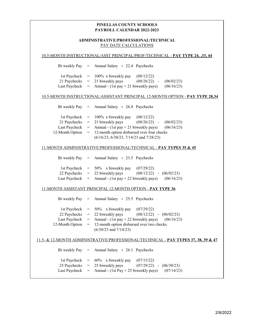# PAY DATE CALCULATIONS **ADMINISTRATIVE/PROFESSIONAL/TECHNICAL**

|                                                                                                   |                                   | 10.5-MONTH INSTRUCTIONAL/ASST PRINCIPAL/PROF/TECHNICAL - PAY TYPE 24, ,33, 44                                                                                                                                                               |  |  |
|---------------------------------------------------------------------------------------------------|-----------------------------------|---------------------------------------------------------------------------------------------------------------------------------------------------------------------------------------------------------------------------------------------|--|--|
| Bi weekly Pay                                                                                     | $=$                               | Annual Salary $\div$ 22.4 Paychecks                                                                                                                                                                                                         |  |  |
| 1st Paycheck<br>21 Paychecks<br>Last Paycheck                                                     | $=$<br>$=$<br>$=$                 | 100% x biweekly pay<br>(08/12/22)<br>21 biweekly pays<br>$(08/26/22)$ -<br>(06/02/23)<br>Annual - $(1st pay + 21$ biweekly pays)<br>(06/16/23)                                                                                              |  |  |
|                                                                                                   |                                   | 10.5-MONTH INSTRUCTIONAL/ASSISTANT PRINCIPAL 12-MONTH OPTION - PAY TYPE 28,34                                                                                                                                                               |  |  |
| Bi weekly Pay                                                                                     | $\hspace{1.6cm} = \hspace{1.6cm}$ | Annual Salary $\div$ 26.4 Paychecks                                                                                                                                                                                                         |  |  |
| 1st Paycheck<br>21 Paychecks<br>Last Paycheck<br>12-Month Option                                  | $=$<br>$=$<br>$=$<br>$=$          | 100% x biweekly pay<br>(08/12/22)<br>21 biweekly pays<br>$(08/26/22)$ -<br>(06/02/23)<br>Annual - $(1st pay + 21$ biweekly pays)<br>(06/16/23)<br>12-month option disbursed over four checks<br>$(6/16/23, 6/30/23, 7/14/23$ and $7/28/23)$ |  |  |
|                                                                                                   |                                   | 11-MONTH ADMINISTRATIVE/PROFESSIONAL/TECHNICAL - PAY TYPES 35 & 45                                                                                                                                                                          |  |  |
| Bi weekly Pay                                                                                     | $=$                               | Annual Salary $\div$ 23.5 Paychecks                                                                                                                                                                                                         |  |  |
| 1st Paycheck<br>22 Paychecks<br>Last Paycheck                                                     | $=$<br>$=$<br>$=$                 | 50% x biweekly pay<br>(07/29/22)<br>22 biweekly pays<br>$(08/12/22)$ - $(06/02/23)$<br>Annual - (1st pay + 22 biweekly pays)<br>(06/16/23)                                                                                                  |  |  |
|                                                                                                   |                                   | 11-MONTH ASSISTANT PRINCIPAL 12-MONTH OPTION - PAY TYPE 36                                                                                                                                                                                  |  |  |
| Bi weekly Pay                                                                                     | $=$                               | Annual Salary $\div$ 25.5 Paychecks                                                                                                                                                                                                         |  |  |
| 1st Paycheck<br>22 Paychecks<br>Last Paycheck<br>12-Month Option                                  | $=$<br>$=$<br>$=$<br>$=$          | 50% x biweekly pay<br>(07/29/22)<br>22 biweekly pays<br>$(08/12/22)$ - $(06/02/23)$<br>Annual - (1st pay + 22 biweekly pays)<br>(06/16/23)<br>12-month option disbursed over two checks<br>$(6/30/23$ and $7/14/23)$                        |  |  |
| <u>11.5- &amp; 12-MONTH ADMINISTRATIVE/PROFESSIONAL/TECHNICAL - PAY TYPES 37, 38, 39 &amp; 47</u> |                                   |                                                                                                                                                                                                                                             |  |  |
| Bi weekly Pay                                                                                     | $=$                               | Annual Salary $\div$ 26.1 Paychecks                                                                                                                                                                                                         |  |  |
| 1st Paycheck<br>25 Paychecks<br>Last Paycheck                                                     | $=$<br>$=$<br>=                   | 60% x biweekly pay<br>(07/15/22)<br>25 biweekly pays<br>(07/29/22)<br>(06/30/23)<br>$\sim$<br>Annual - $(1st Pay + 25 biweekly pays)$<br>(07/14/23)                                                                                         |  |  |
|                                                                                                   |                                   |                                                                                                                                                                                                                                             |  |  |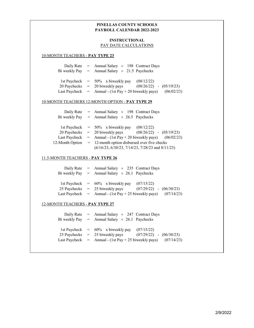# **INSTRUCTIONAL** PAY DATE CALCULATIONS

#### 10-MONTH TEACHERS - **PAY TYPE 23**

|  | Daily Rate = Annual Salary $\div$ 198 Contract Days<br>Bi weekly Pay = Annual Salary $\div$ 21.5 Paychecks                                                                                    |
|--|-----------------------------------------------------------------------------------------------------------------------------------------------------------------------------------------------|
|  | (08/12/22)<br>1st Paycheck $= 50\%$ x biweekly pay<br>20 Paychecks $= 20$ biweekly pays<br>$(08/26/22)$ - $(05/19/23)$<br>Last Paycheck = Annual - $(1st Pay + 20biweekly pays)$ $(06/02/23)$ |

#### 10-MONTH TEACHERS 12-MONTH OPTION - **PAY TYPE 29**

|                 | Daily Rate = Annual Salary $\div$ 198 Contract Days  |                             |  |  |
|-----------------|------------------------------------------------------|-----------------------------|--|--|
|                 | Bi weekly Pay = Annual Salary $\div$ 26.5 Paychecks  |                             |  |  |
|                 |                                                      |                             |  |  |
|                 | 1st Paycheck $= 50\%$ x biweekly pay $(08/12/22)$    |                             |  |  |
|                 | $20$ Paychecks $= 20$ biweekly pays                  | $(08/26/22)$ - $(05/19/23)$ |  |  |
| Last Paycheck   | $=$ Annual - (1st Pay + 20 biweekly pays) (06/02/23) |                             |  |  |
| 12-Month Option | $=$ 12-month option disbursed over five checks       |                             |  |  |
|                 | $(6/16/23, 6/30/23, 7/14/23, 7/28/23$ and $8/11/23)$ |                             |  |  |
|                 |                                                      |                             |  |  |

#### 11.5-MONTH TEACHERS - **PAY TYPE 26**

|  | Daily Rate = Annual Salary $\div$ 235 Contract Days                |                             |  |
|--|--------------------------------------------------------------------|-----------------------------|--|
|  | Bi weekly Pay = Annual Salary $\div$ 26.1 Paychecks                |                             |  |
|  |                                                                    |                             |  |
|  | 1st Paycheck $= 60\%$ x biweekly pay $(07/15/22)$                  |                             |  |
|  | 25 Paychecks $=$ 25 biweekly pays                                  | $(07/29/22)$ - $(06/30/23)$ |  |
|  | Last Paycheck $=$ Annual - (1st Pay + 25 biweekly pays) (07/14/23) |                             |  |
|  |                                                                    |                             |  |

#### 12-MONTH TEACHERS - **PAY TYPE 27**

| Daily Rate | $=$ Annual Salary $\div$ 247 Contract Days<br>Bi weekly Pay = Annual Salary $\div$ 26.1 Paychecks                                                 |                                           |  |
|------------|---------------------------------------------------------------------------------------------------------------------------------------------------|-------------------------------------------|--|
|            | 1st Paycheck $= 60\%$ x biweekly pay<br>$25$ Paychecks $= 25$ biweekly pays<br>Last Paycheck $=$ Annual - (1st Pay + 25 biweekly pays) (07/14/23) | (07/15/22)<br>$(07/29/22)$ - $(06/30/23)$ |  |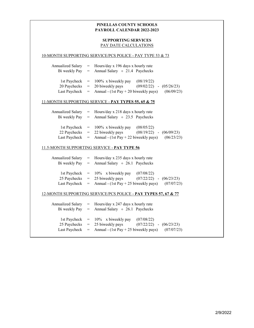# **SUPPORTING SERVICES** PAY DATE CALCULATIONS

#### 10-MONTH SUPPORTING SERVICE/PCS POLICE - PAY TYPE 53 & 73

| Annualized Salary | $=$ Hours/day x 196 days x hourly rate                  |                             |            |
|-------------------|---------------------------------------------------------|-----------------------------|------------|
|                   | Bi weekly Pay = Annual Salary $\div$ 21.4 Paychecks     |                             |            |
|                   |                                                         |                             |            |
|                   | 1st Paycheck $= 100\%$ x biweekly pay $(08/19/22)$      |                             |            |
|                   | $20$ Paychecks $= 20$ biweekly pays                     | $(09/02/22)$ - $(05/26/23)$ |            |
|                   | Last Paycheck $=$ Annual - (1st Pay + 20 biweekly pays) |                             | (06/09/23) |
|                   |                                                         |                             |            |

#### 11-MONTH SUPPORTING SERVICE - **PAY TYPES 55, 65 & 75**

|  | Annualized Salary $=$ Hours/day x 218 days x hourly rate                    |                             |  |  |  |
|--|-----------------------------------------------------------------------------|-----------------------------|--|--|--|
|  | Bi weekly Pay = Annual Salary $\div$ 23.5 Paychecks                         |                             |  |  |  |
|  |                                                                             |                             |  |  |  |
|  | 1st Paycheck $= 100\%$ x biweekly pay                                       | (08/05/22)                  |  |  |  |
|  | 22 Paychecks $=$ 22 biweekly pays                                           | $(08/19/22)$ - $(06/09/23)$ |  |  |  |
|  | Last Paycheck = Annual - $(1st Pay + 22 \text{biweekly pays})$ $(06/23/23)$ |                             |  |  |  |

#### 11.5-MONTH SUPPORTING SERVICE - **PAY TYPE 56**

| Annualized Salary | $=$ Hours/day x 235 days x hourly rate<br>Bi weekly Pay = Annual Salary $\div$ 26.1 Paychecks                                                                 |                             |  |
|-------------------|---------------------------------------------------------------------------------------------------------------------------------------------------------------|-----------------------------|--|
|                   | 1st Paycheck $= 10\%$ x biweekly pay $(07/08/22)$<br>25 Paychecks $=$ 25 biweekly pays<br>Last Paycheck = Annual - $(1st Pay + 25biweekly pays)$ $(07/07/23)$ | $(07/22/22)$ - $(06/23/23)$ |  |

#### 12-MONTH SUPPORTING SERVICE/PCS POLICE - **PAY TYPES 57, 67 & 77**

| Annualized Salary | $=$ Hours/day x 247 days x hourly rate<br>Bi weekly Pay = Annual Salary $\div$ 26.1 Paychecks                                                                 |                             |  |
|-------------------|---------------------------------------------------------------------------------------------------------------------------------------------------------------|-----------------------------|--|
|                   | 1st Paycheck $= 10\%$ x biweekly pay $(07/08/22)$<br>25 Paychecks $=$ 25 biweekly pays<br>Last Paycheck = Annual - $(1st Pay + 25biweekly pays)$ $(07/07/23)$ | $(07/22/22)$ - $(06/23/23)$ |  |